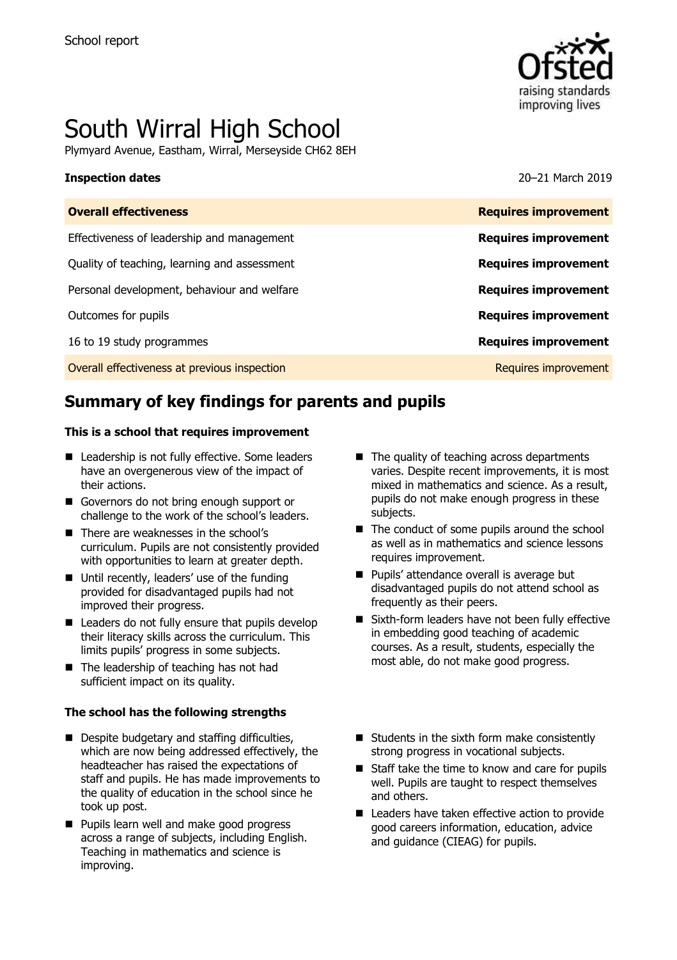

# South Wirral High School

Plymyard Avenue, Eastham, Wirral, Merseyside CH62 8EH

#### **Inspection dates** 20–21 March 2019

| <b>Overall effectiveness</b>                 | <b>Requires improvement</b> |
|----------------------------------------------|-----------------------------|
| Effectiveness of leadership and management   | <b>Requires improvement</b> |
| Quality of teaching, learning and assessment | <b>Requires improvement</b> |
| Personal development, behaviour and welfare  | <b>Requires improvement</b> |
| Outcomes for pupils                          | <b>Requires improvement</b> |
| 16 to 19 study programmes                    | <b>Requires improvement</b> |
| Overall effectiveness at previous inspection | Requires improvement        |

# **Summary of key findings for parents and pupils**

#### **This is a school that requires improvement**

- Leadership is not fully effective. Some leaders have an overgenerous view of the impact of their actions.
- Governors do not bring enough support or challenge to the work of the school's leaders.
- There are weaknesses in the school's curriculum. Pupils are not consistently provided with opportunities to learn at greater depth.
- Until recently, leaders' use of the funding provided for disadvantaged pupils had not improved their progress.
- Leaders do not fully ensure that pupils develop their literacy skills across the curriculum. This limits pupils' progress in some subjects.
- The leadership of teaching has not had sufficient impact on its quality.

#### **The school has the following strengths**

- Despite budgetary and staffing difficulties, which are now being addressed effectively, the headteacher has raised the expectations of staff and pupils. He has made improvements to the quality of education in the school since he took up post.
- **Pupils learn well and make good progress** across a range of subjects, including English. Teaching in mathematics and science is improving.
- $\blacksquare$  The quality of teaching across departments varies. Despite recent improvements, it is most mixed in mathematics and science. As a result, pupils do not make enough progress in these subjects.
- $\blacksquare$  The conduct of some pupils around the school as well as in mathematics and science lessons requires improvement.
- **Pupils' attendance overall is average but** disadvantaged pupils do not attend school as frequently as their peers.
- Sixth-form leaders have not been fully effective in embedding good teaching of academic courses. As a result, students, especially the most able, do not make good progress.
- $\blacksquare$  Students in the sixth form make consistently strong progress in vocational subjects.
- Staff take the time to know and care for pupils well. Pupils are taught to respect themselves and others.
- Leaders have taken effective action to provide good careers information, education, advice and guidance (CIEAG) for pupils.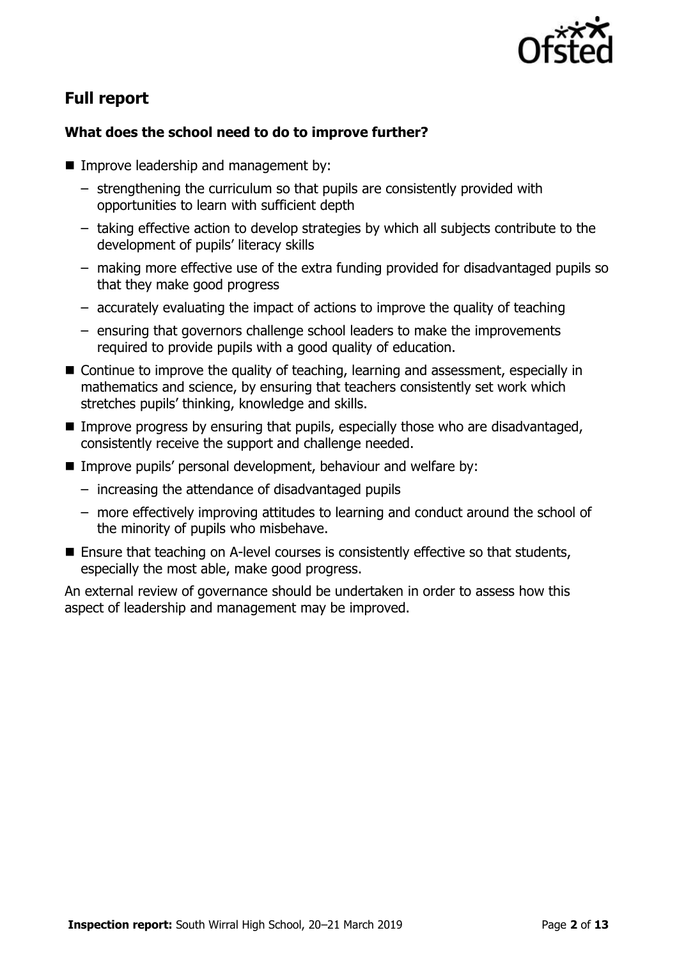

# **Full report**

### **What does the school need to do to improve further?**

- **IMPROPE Improve leadership and management by:** 
	- strengthening the curriculum so that pupils are consistently provided with opportunities to learn with sufficient depth
	- taking effective action to develop strategies by which all subjects contribute to the development of pupils' literacy skills
	- making more effective use of the extra funding provided for disadvantaged pupils so that they make good progress
	- accurately evaluating the impact of actions to improve the quality of teaching
	- ensuring that governors challenge school leaders to make the improvements required to provide pupils with a good quality of education.
- Continue to improve the quality of teaching, learning and assessment, especially in mathematics and science, by ensuring that teachers consistently set work which stretches pupils' thinking, knowledge and skills.
- Improve progress by ensuring that pupils, especially those who are disadvantaged, consistently receive the support and challenge needed.
- **IMPROVE PUPILS' personal development, behaviour and welfare by:** 
	- increasing the attendance of disadvantaged pupils
	- more effectively improving attitudes to learning and conduct around the school of the minority of pupils who misbehave.
- Ensure that teaching on A-level courses is consistently effective so that students, especially the most able, make good progress.

An external review of governance should be undertaken in order to assess how this aspect of leadership and management may be improved.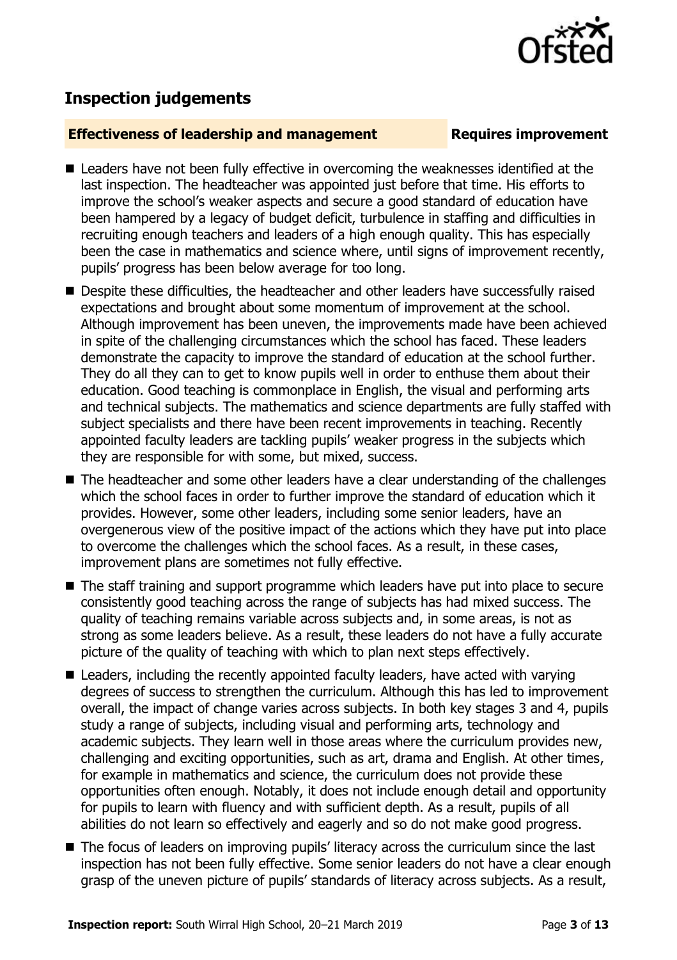

## **Inspection judgements**

#### **Effectiveness of leadership and management Requires improvement**

- Leaders have not been fully effective in overcoming the weaknesses identified at the last inspection. The headteacher was appointed just before that time. His efforts to improve the school's weaker aspects and secure a good standard of education have been hampered by a legacy of budget deficit, turbulence in staffing and difficulties in recruiting enough teachers and leaders of a high enough quality. This has especially been the case in mathematics and science where, until signs of improvement recently, pupils' progress has been below average for too long.
- Despite these difficulties, the headteacher and other leaders have successfully raised expectations and brought about some momentum of improvement at the school. Although improvement has been uneven, the improvements made have been achieved in spite of the challenging circumstances which the school has faced. These leaders demonstrate the capacity to improve the standard of education at the school further. They do all they can to get to know pupils well in order to enthuse them about their education. Good teaching is commonplace in English, the visual and performing arts and technical subjects. The mathematics and science departments are fully staffed with subject specialists and there have been recent improvements in teaching. Recently appointed faculty leaders are tackling pupils' weaker progress in the subjects which they are responsible for with some, but mixed, success.
- The headteacher and some other leaders have a clear understanding of the challenges which the school faces in order to further improve the standard of education which it provides. However, some other leaders, including some senior leaders, have an overgenerous view of the positive impact of the actions which they have put into place to overcome the challenges which the school faces. As a result, in these cases, improvement plans are sometimes not fully effective.
- The staff training and support programme which leaders have put into place to secure consistently good teaching across the range of subjects has had mixed success. The quality of teaching remains variable across subjects and, in some areas, is not as strong as some leaders believe. As a result, these leaders do not have a fully accurate picture of the quality of teaching with which to plan next steps effectively.
- Leaders, including the recently appointed faculty leaders, have acted with varying degrees of success to strengthen the curriculum. Although this has led to improvement overall, the impact of change varies across subjects. In both key stages 3 and 4, pupils study a range of subjects, including visual and performing arts, technology and academic subjects. They learn well in those areas where the curriculum provides new, challenging and exciting opportunities, such as art, drama and English. At other times, for example in mathematics and science, the curriculum does not provide these opportunities often enough. Notably, it does not include enough detail and opportunity for pupils to learn with fluency and with sufficient depth. As a result, pupils of all abilities do not learn so effectively and eagerly and so do not make good progress.
- The focus of leaders on improving pupils' literacy across the curriculum since the last inspection has not been fully effective. Some senior leaders do not have a clear enough grasp of the uneven picture of pupils' standards of literacy across subjects. As a result,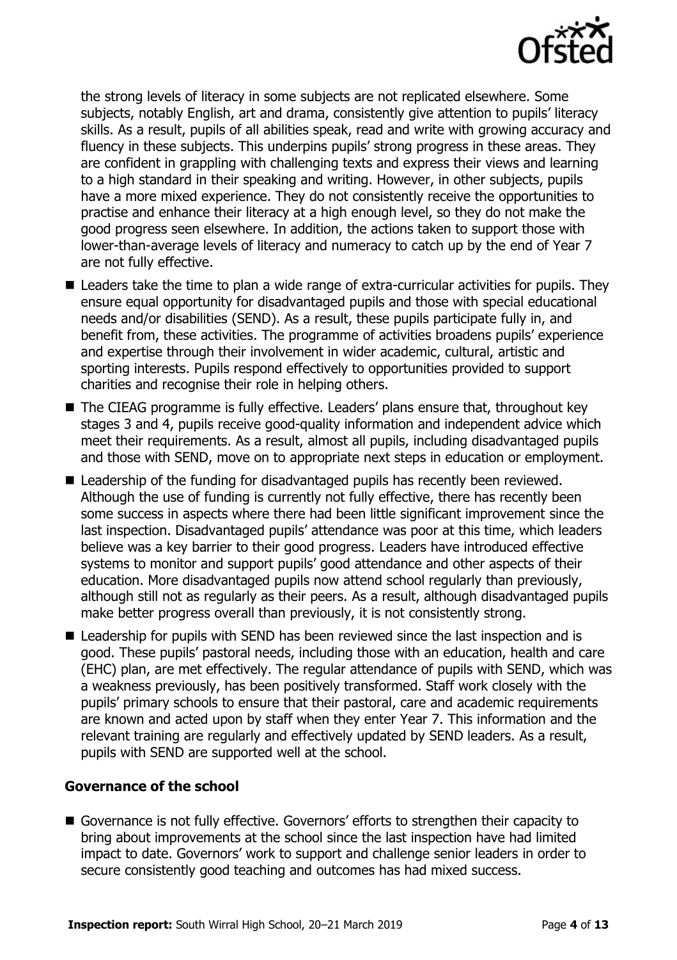

the strong levels of literacy in some subjects are not replicated elsewhere. Some subjects, notably English, art and drama, consistently give attention to pupils' literacy skills. As a result, pupils of all abilities speak, read and write with growing accuracy and fluency in these subjects. This underpins pupils' strong progress in these areas. They are confident in grappling with challenging texts and express their views and learning to a high standard in their speaking and writing. However, in other subjects, pupils have a more mixed experience. They do not consistently receive the opportunities to practise and enhance their literacy at a high enough level, so they do not make the good progress seen elsewhere. In addition, the actions taken to support those with lower-than-average levels of literacy and numeracy to catch up by the end of Year 7 are not fully effective.

- Leaders take the time to plan a wide range of extra-curricular activities for pupils. They ensure equal opportunity for disadvantaged pupils and those with special educational needs and/or disabilities (SEND). As a result, these pupils participate fully in, and benefit from, these activities. The programme of activities broadens pupils' experience and expertise through their involvement in wider academic, cultural, artistic and sporting interests. Pupils respond effectively to opportunities provided to support charities and recognise their role in helping others.
- The CIEAG programme is fully effective. Leaders' plans ensure that, throughout key stages 3 and 4, pupils receive good-quality information and independent advice which meet their requirements. As a result, almost all pupils, including disadvantaged pupils and those with SEND, move on to appropriate next steps in education or employment.
- Leadership of the funding for disadvantaged pupils has recently been reviewed. Although the use of funding is currently not fully effective, there has recently been some success in aspects where there had been little significant improvement since the last inspection. Disadvantaged pupils' attendance was poor at this time, which leaders believe was a key barrier to their good progress. Leaders have introduced effective systems to monitor and support pupils' good attendance and other aspects of their education. More disadvantaged pupils now attend school regularly than previously, although still not as regularly as their peers. As a result, although disadvantaged pupils make better progress overall than previously, it is not consistently strong.
- Leadership for pupils with SEND has been reviewed since the last inspection and is good. These pupils' pastoral needs, including those with an education, health and care (EHC) plan, are met effectively. The regular attendance of pupils with SEND, which was a weakness previously, has been positively transformed. Staff work closely with the pupils' primary schools to ensure that their pastoral, care and academic requirements are known and acted upon by staff when they enter Year 7. This information and the relevant training are regularly and effectively updated by SEND leaders. As a result, pupils with SEND are supported well at the school.

### **Governance of the school**

Governance is not fully effective. Governors' efforts to strengthen their capacity to bring about improvements at the school since the last inspection have had limited impact to date. Governors' work to support and challenge senior leaders in order to secure consistently good teaching and outcomes has had mixed success.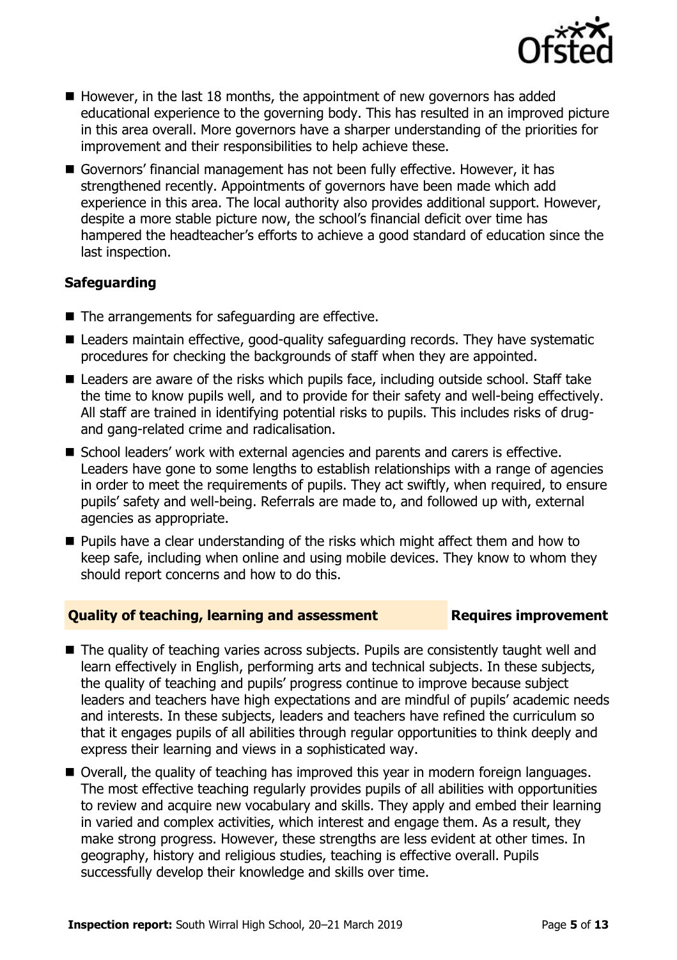

- $\blacksquare$  However, in the last 18 months, the appointment of new governors has added educational experience to the governing body. This has resulted in an improved picture in this area overall. More governors have a sharper understanding of the priorities for improvement and their responsibilities to help achieve these.
- Governors' financial management has not been fully effective. However, it has strengthened recently. Appointments of governors have been made which add experience in this area. The local authority also provides additional support. However, despite a more stable picture now, the school's financial deficit over time has hampered the headteacher's efforts to achieve a good standard of education since the last inspection.

### **Safeguarding**

- The arrangements for safeguarding are effective.
- Leaders maintain effective, good-quality safeguarding records. They have systematic procedures for checking the backgrounds of staff when they are appointed.
- Leaders are aware of the risks which pupils face, including outside school. Staff take the time to know pupils well, and to provide for their safety and well-being effectively. All staff are trained in identifying potential risks to pupils. This includes risks of drugand gang-related crime and radicalisation.
- School leaders' work with external agencies and parents and carers is effective. Leaders have gone to some lengths to establish relationships with a range of agencies in order to meet the requirements of pupils. They act swiftly, when required, to ensure pupils' safety and well-being. Referrals are made to, and followed up with, external agencies as appropriate.
- **Pupils have a clear understanding of the risks which might affect them and how to** keep safe, including when online and using mobile devices. They know to whom they should report concerns and how to do this.

### **Quality of teaching, learning and assessment Requires improvement**

- The quality of teaching varies across subiects. Pupils are consistently taught well and learn effectively in English, performing arts and technical subjects. In these subjects, the quality of teaching and pupils' progress continue to improve because subject leaders and teachers have high expectations and are mindful of pupils' academic needs and interests. In these subjects, leaders and teachers have refined the curriculum so that it engages pupils of all abilities through regular opportunities to think deeply and express their learning and views in a sophisticated way.
- Overall, the quality of teaching has improved this year in modern foreign languages. The most effective teaching regularly provides pupils of all abilities with opportunities to review and acquire new vocabulary and skills. They apply and embed their learning in varied and complex activities, which interest and engage them. As a result, they make strong progress. However, these strengths are less evident at other times. In geography, history and religious studies, teaching is effective overall. Pupils successfully develop their knowledge and skills over time.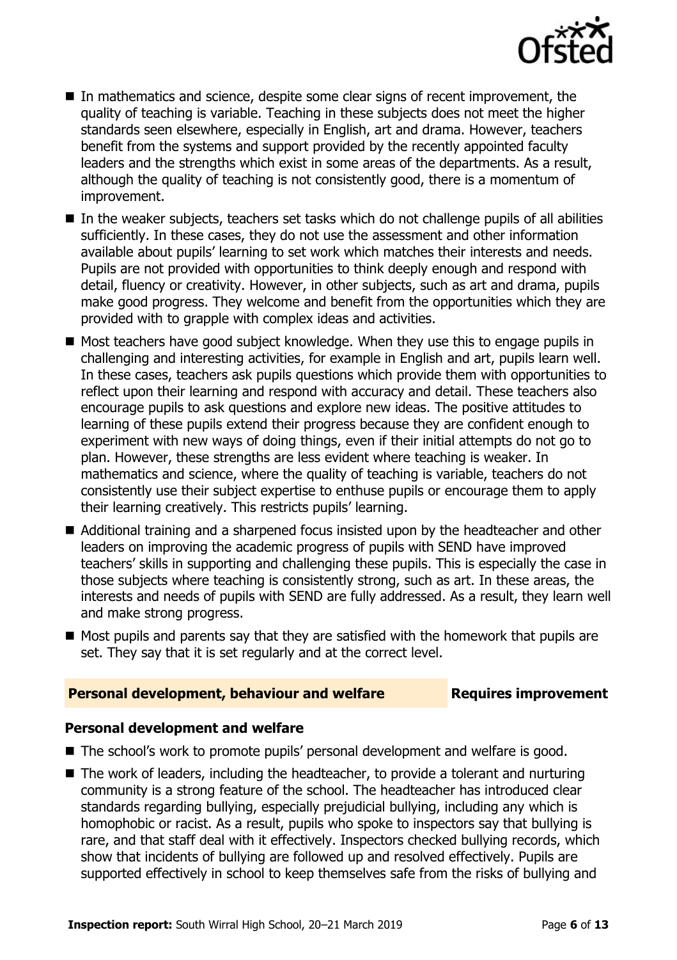

- In mathematics and science, despite some clear signs of recent improvement, the quality of teaching is variable. Teaching in these subjects does not meet the higher standards seen elsewhere, especially in English, art and drama. However, teachers benefit from the systems and support provided by the recently appointed faculty leaders and the strengths which exist in some areas of the departments. As a result, although the quality of teaching is not consistently good, there is a momentum of improvement.
- In the weaker subiects, teachers set tasks which do not challenge pupils of all abilities sufficiently. In these cases, they do not use the assessment and other information available about pupils' learning to set work which matches their interests and needs. Pupils are not provided with opportunities to think deeply enough and respond with detail, fluency or creativity. However, in other subjects, such as art and drama, pupils make good progress. They welcome and benefit from the opportunities which they are provided with to grapple with complex ideas and activities.
- Most teachers have good subject knowledge. When they use this to engage pupils in challenging and interesting activities, for example in English and art, pupils learn well. In these cases, teachers ask pupils questions which provide them with opportunities to reflect upon their learning and respond with accuracy and detail. These teachers also encourage pupils to ask questions and explore new ideas. The positive attitudes to learning of these pupils extend their progress because they are confident enough to experiment with new ways of doing things, even if their initial attempts do not go to plan. However, these strengths are less evident where teaching is weaker. In mathematics and science, where the quality of teaching is variable, teachers do not consistently use their subject expertise to enthuse pupils or encourage them to apply their learning creatively. This restricts pupils' learning.
- Additional training and a sharpened focus insisted upon by the headteacher and other leaders on improving the academic progress of pupils with SEND have improved teachers' skills in supporting and challenging these pupils. This is especially the case in those subjects where teaching is consistently strong, such as art. In these areas, the interests and needs of pupils with SEND are fully addressed. As a result, they learn well and make strong progress.
- $\blacksquare$  Most pupils and parents say that they are satisfied with the homework that pupils are set. They say that it is set regularly and at the correct level.

#### **Personal development, behaviour and welfare Fig. 2. Requires improvement**

#### **Personal development and welfare**

- The school's work to promote pupils' personal development and welfare is good.
- The work of leaders, including the headteacher, to provide a tolerant and nurturing community is a strong feature of the school. The headteacher has introduced clear standards regarding bullying, especially prejudicial bullying, including any which is homophobic or racist. As a result, pupils who spoke to inspectors say that bullying is rare, and that staff deal with it effectively. Inspectors checked bullying records, which show that incidents of bullying are followed up and resolved effectively. Pupils are supported effectively in school to keep themselves safe from the risks of bullying and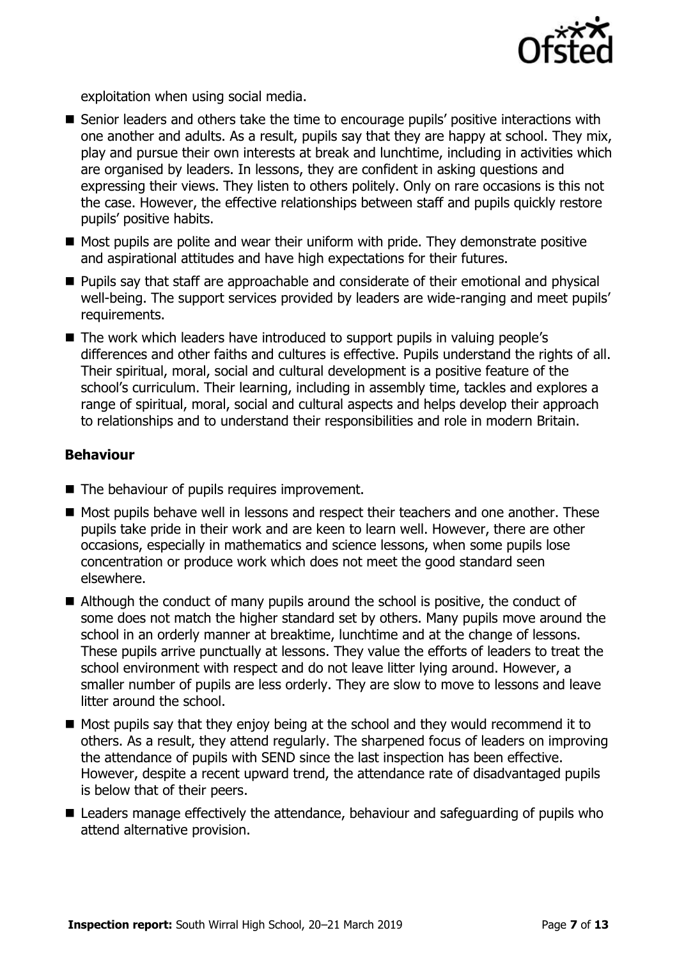

exploitation when using social media.

- Senior leaders and others take the time to encourage pupils' positive interactions with one another and adults. As a result, pupils say that they are happy at school. They mix, play and pursue their own interests at break and lunchtime, including in activities which are organised by leaders. In lessons, they are confident in asking questions and expressing their views. They listen to others politely. Only on rare occasions is this not the case. However, the effective relationships between staff and pupils quickly restore pupils' positive habits.
- $\blacksquare$  Most pupils are polite and wear their uniform with pride. They demonstrate positive and aspirational attitudes and have high expectations for their futures.
- **Pupils say that staff are approachable and considerate of their emotional and physical** well-being. The support services provided by leaders are wide-ranging and meet pupils' requirements.
- The work which leaders have introduced to support pupils in valuing people's differences and other faiths and cultures is effective. Pupils understand the rights of all. Their spiritual, moral, social and cultural development is a positive feature of the school's curriculum. Their learning, including in assembly time, tackles and explores a range of spiritual, moral, social and cultural aspects and helps develop their approach to relationships and to understand their responsibilities and role in modern Britain.

#### **Behaviour**

- The behaviour of pupils requires improvement.
- Most pupils behave well in lessons and respect their teachers and one another. These pupils take pride in their work and are keen to learn well. However, there are other occasions, especially in mathematics and science lessons, when some pupils lose concentration or produce work which does not meet the good standard seen elsewhere.
- Although the conduct of many pupils around the school is positive, the conduct of some does not match the higher standard set by others. Many pupils move around the school in an orderly manner at breaktime, lunchtime and at the change of lessons. These pupils arrive punctually at lessons. They value the efforts of leaders to treat the school environment with respect and do not leave litter lying around. However, a smaller number of pupils are less orderly. They are slow to move to lessons and leave litter around the school.
- $\blacksquare$  Most pupils say that they enjoy being at the school and they would recommend it to others. As a result, they attend regularly. The sharpened focus of leaders on improving the attendance of pupils with SEND since the last inspection has been effective. However, despite a recent upward trend, the attendance rate of disadvantaged pupils is below that of their peers.
- Leaders manage effectively the attendance, behaviour and safeguarding of pupils who attend alternative provision.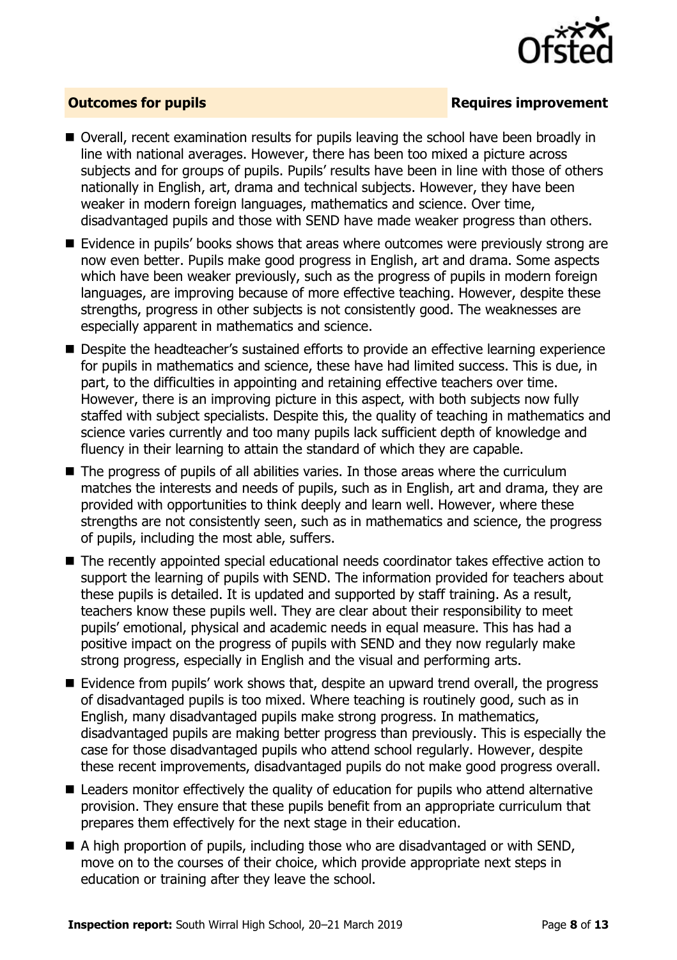

### **Outcomes for pupils Requires improvement**

- Overall, recent examination results for pupils leaving the school have been broadly in line with national averages. However, there has been too mixed a picture across subjects and for groups of pupils. Pupils' results have been in line with those of others nationally in English, art, drama and technical subjects. However, they have been weaker in modern foreign languages, mathematics and science. Over time, disadvantaged pupils and those with SEND have made weaker progress than others.
- Evidence in pupils' books shows that areas where outcomes were previously strong are now even better. Pupils make good progress in English, art and drama. Some aspects which have been weaker previously, such as the progress of pupils in modern foreign languages, are improving because of more effective teaching. However, despite these strengths, progress in other subjects is not consistently good. The weaknesses are especially apparent in mathematics and science.
- Despite the headteacher's sustained efforts to provide an effective learning experience for pupils in mathematics and science, these have had limited success. This is due, in part, to the difficulties in appointing and retaining effective teachers over time. However, there is an improving picture in this aspect, with both subjects now fully staffed with subject specialists. Despite this, the quality of teaching in mathematics and science varies currently and too many pupils lack sufficient depth of knowledge and fluency in their learning to attain the standard of which they are capable.
- The progress of pupils of all abilities varies. In those areas where the curriculum matches the interests and needs of pupils, such as in English, art and drama, they are provided with opportunities to think deeply and learn well. However, where these strengths are not consistently seen, such as in mathematics and science, the progress of pupils, including the most able, suffers.
- The recently appointed special educational needs coordinator takes effective action to support the learning of pupils with SEND. The information provided for teachers about these pupils is detailed. It is updated and supported by staff training. As a result, teachers know these pupils well. They are clear about their responsibility to meet pupils' emotional, physical and academic needs in equal measure. This has had a positive impact on the progress of pupils with SEND and they now regularly make strong progress, especially in English and the visual and performing arts.
- Evidence from pupils' work shows that, despite an upward trend overall, the progress of disadvantaged pupils is too mixed. Where teaching is routinely good, such as in English, many disadvantaged pupils make strong progress. In mathematics, disadvantaged pupils are making better progress than previously. This is especially the case for those disadvantaged pupils who attend school regularly. However, despite these recent improvements, disadvantaged pupils do not make good progress overall.
- Leaders monitor effectively the quality of education for pupils who attend alternative provision. They ensure that these pupils benefit from an appropriate curriculum that prepares them effectively for the next stage in their education.
- A high proportion of pupils, including those who are disadvantaged or with SEND, move on to the courses of their choice, which provide appropriate next steps in education or training after they leave the school.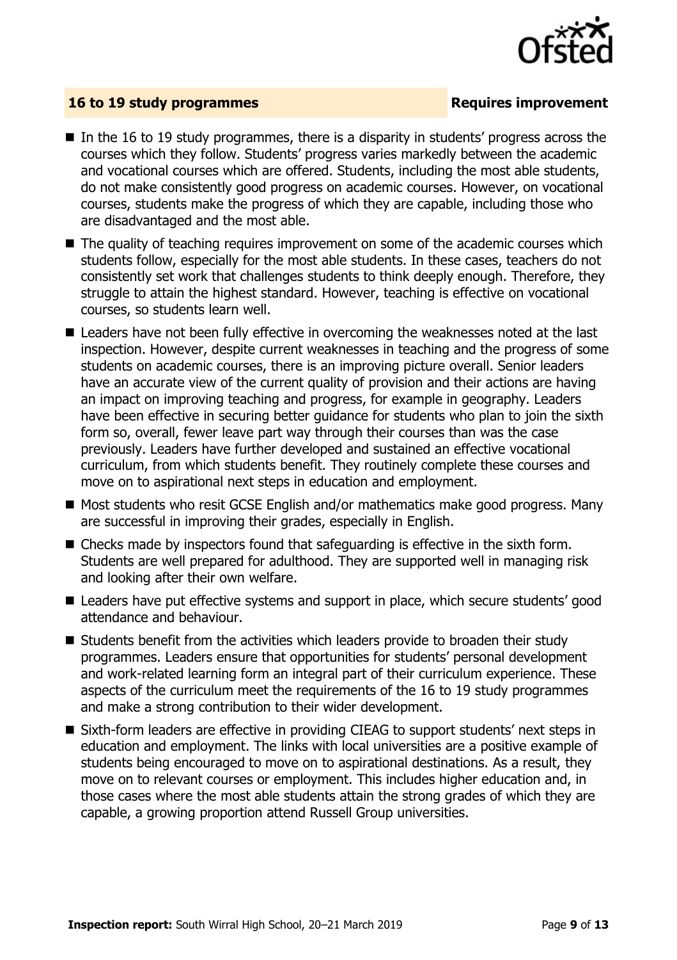

#### **16 to 19 study programmes Requires improvement**

- $\blacksquare$  In the 16 to 19 study programmes, there is a disparity in students' progress across the courses which they follow. Students' progress varies markedly between the academic and vocational courses which are offered. Students, including the most able students, do not make consistently good progress on academic courses. However, on vocational courses, students make the progress of which they are capable, including those who are disadvantaged and the most able.
- The quality of teaching requires improvement on some of the academic courses which students follow, especially for the most able students. In these cases, teachers do not consistently set work that challenges students to think deeply enough. Therefore, they struggle to attain the highest standard. However, teaching is effective on vocational courses, so students learn well.
- Leaders have not been fully effective in overcoming the weaknesses noted at the last inspection. However, despite current weaknesses in teaching and the progress of some students on academic courses, there is an improving picture overall. Senior leaders have an accurate view of the current quality of provision and their actions are having an impact on improving teaching and progress, for example in geography. Leaders have been effective in securing better guidance for students who plan to join the sixth form so, overall, fewer leave part way through their courses than was the case previously. Leaders have further developed and sustained an effective vocational curriculum, from which students benefit. They routinely complete these courses and move on to aspirational next steps in education and employment.
- Most students who resit GCSE English and/or mathematics make good progress. Many are successful in improving their grades, especially in English.
- Checks made by inspectors found that safeguarding is effective in the sixth form. Students are well prepared for adulthood. They are supported well in managing risk and looking after their own welfare.
- Leaders have put effective systems and support in place, which secure students' good attendance and behaviour.
- Students benefit from the activities which leaders provide to broaden their study programmes. Leaders ensure that opportunities for students' personal development and work-related learning form an integral part of their curriculum experience. These aspects of the curriculum meet the requirements of the 16 to 19 study programmes and make a strong contribution to their wider development.
- Sixth-form leaders are effective in providing CIEAG to support students' next steps in education and employment. The links with local universities are a positive example of students being encouraged to move on to aspirational destinations. As a result, they move on to relevant courses or employment. This includes higher education and, in those cases where the most able students attain the strong grades of which they are capable, a growing proportion attend Russell Group universities.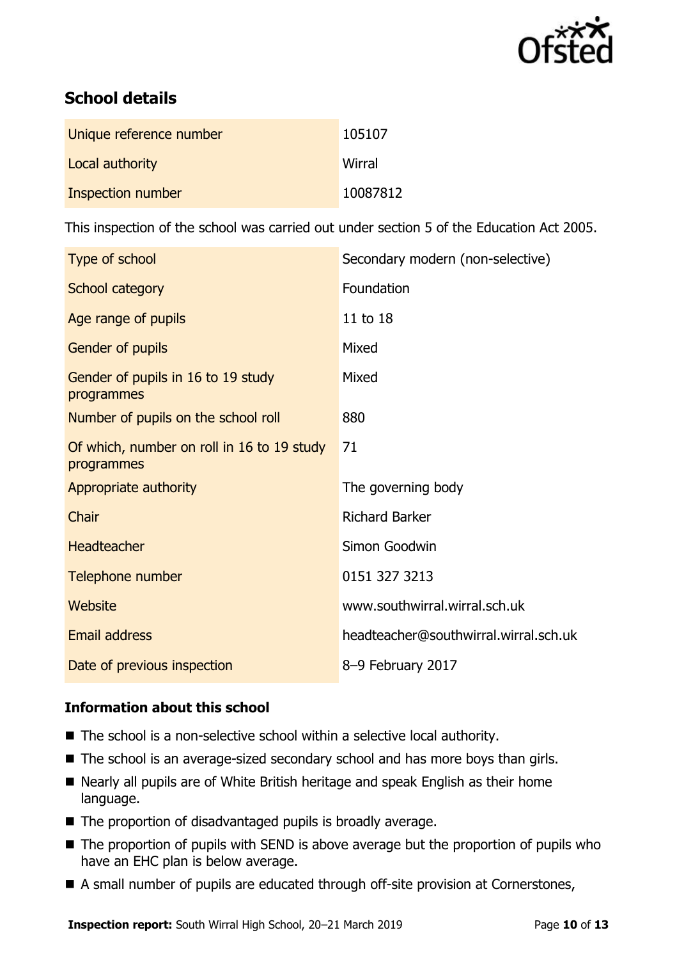

# **School details**

| Unique reference number | 105107   |
|-------------------------|----------|
| Local authority         | Wirral   |
| Inspection number       | 10087812 |

This inspection of the school was carried out under section 5 of the Education Act 2005.

| Type of school                                           | Secondary modern (non-selective)      |
|----------------------------------------------------------|---------------------------------------|
| School category                                          | Foundation                            |
| Age range of pupils                                      | 11 to 18                              |
| Gender of pupils                                         | Mixed                                 |
| Gender of pupils in 16 to 19 study<br>programmes         | Mixed                                 |
| Number of pupils on the school roll                      | 880                                   |
| Of which, number on roll in 16 to 19 study<br>programmes | 71                                    |
| Appropriate authority                                    | The governing body                    |
| Chair                                                    | <b>Richard Barker</b>                 |
| <b>Headteacher</b>                                       | Simon Goodwin                         |
| Telephone number                                         | 0151 327 3213                         |
| Website                                                  | www.southwirral.wirral.sch.uk         |
| Email address                                            | headteacher@southwirral.wirral.sch.uk |
| Date of previous inspection                              | 8-9 February 2017                     |

### **Information about this school**

- The school is a non-selective school within a selective local authority.
- The school is an average-sized secondary school and has more boys than girls.
- Nearly all pupils are of White British heritage and speak English as their home language.
- The proportion of disadvantaged pupils is broadly average.
- The proportion of pupils with SEND is above average but the proportion of pupils who have an EHC plan is below average.
- A small number of pupils are educated through off-site provision at Cornerstones,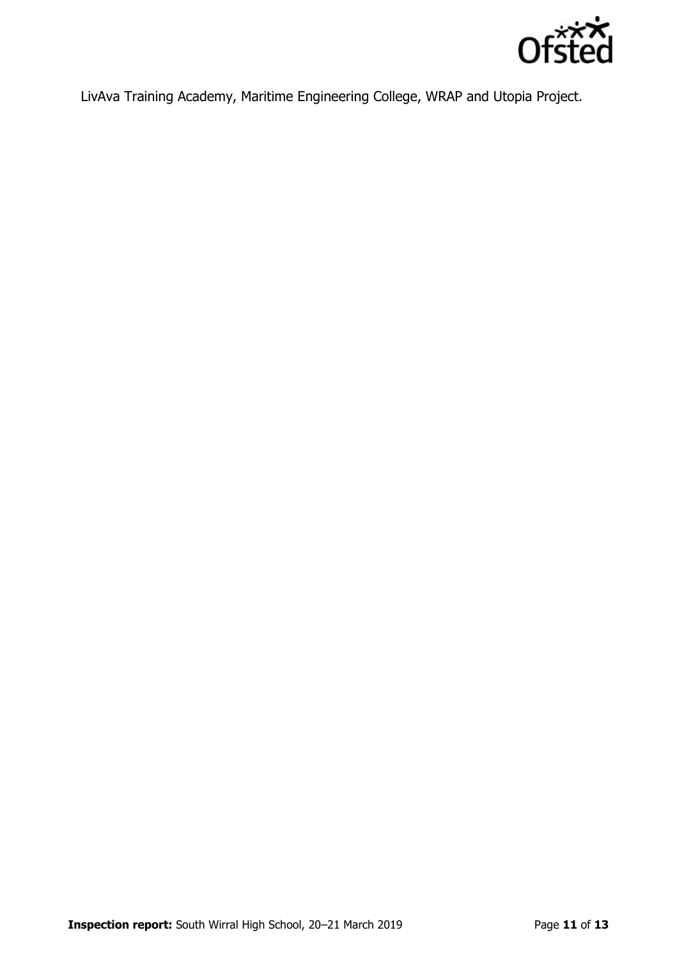

LivAva Training Academy, Maritime Engineering College, WRAP and Utopia Project.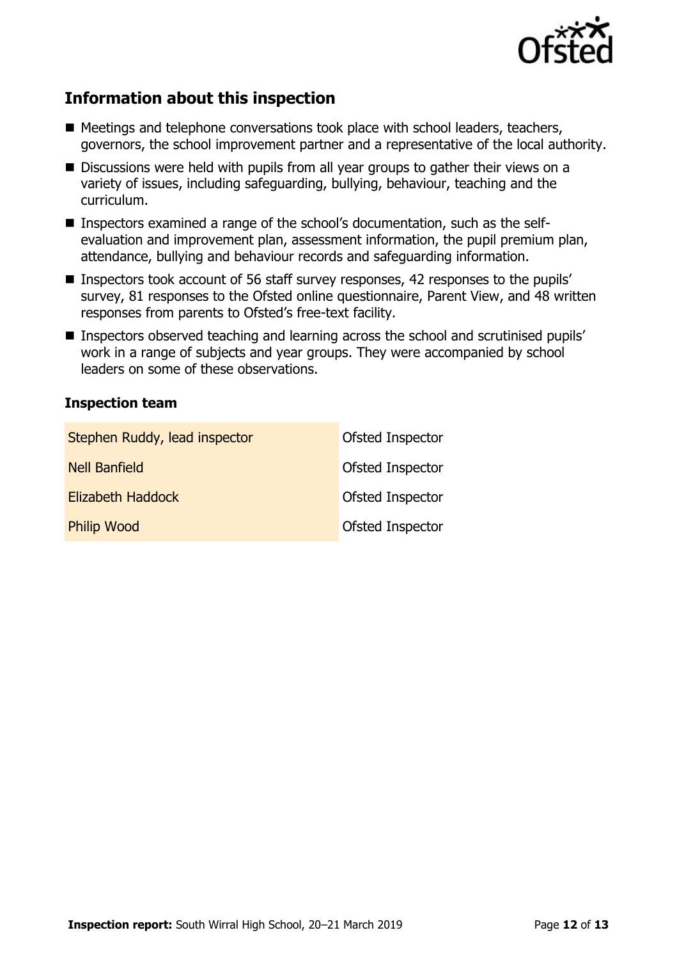

# **Information about this inspection**

- Meetings and telephone conversations took place with school leaders, teachers, governors, the school improvement partner and a representative of the local authority.
- Discussions were held with pupils from all year groups to gather their views on a variety of issues, including safeguarding, bullying, behaviour, teaching and the curriculum.
- Inspectors examined a range of the school's documentation, such as the selfevaluation and improvement plan, assessment information, the pupil premium plan, attendance, bullying and behaviour records and safeguarding information.
- Inspectors took account of 56 staff survey responses, 42 responses to the pupils' survey, 81 responses to the Ofsted online questionnaire, Parent View, and 48 written responses from parents to Ofsted's free-text facility.
- **Inspectors observed teaching and learning across the school and scrutinised pupils'** work in a range of subjects and year groups. They were accompanied by school leaders on some of these observations.

#### **Inspection team**

| Stephen Ruddy, lead inspector | Ofsted Inspector |
|-------------------------------|------------------|
| <b>Nell Banfield</b>          | Ofsted Inspector |
| Elizabeth Haddock             | Ofsted Inspector |
| <b>Philip Wood</b>            | Ofsted Inspector |